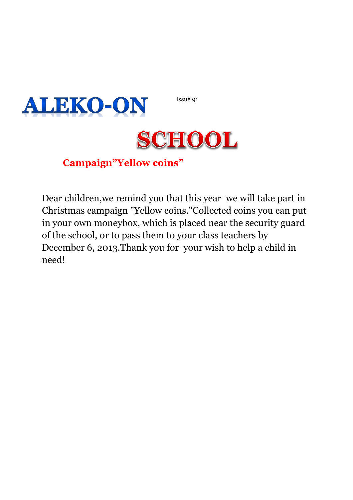Issue 91





## **Campaign"Yellow coins"**

Dear children,we remind you that this year we will take part in Christmas campaign "Yellow coins."Collected coins you can put in your own moneybox, which is placed near the security guard of the school, or to pass them to your class teachers by December 6, 2013.Thank you for your wish to help a child in need!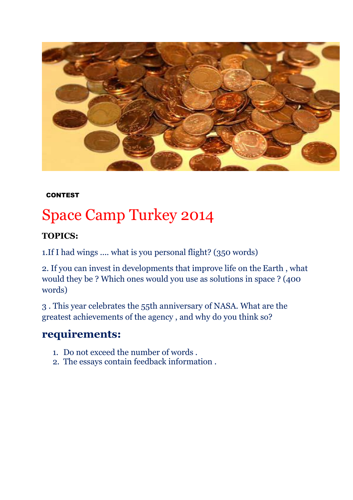

#### **CONTEST**

# Space Camp Turkey 2014

#### **TOPICS:**

1.If I had wings .... what is you personal flight? (350 words)

2. If you can invest in developments that improve life on the Earth , what would they be ? Which ones would you use as solutions in space ? (400 words)

3 . This year celebrates the 55th anniversary of NASA. What are the greatest achievements of the agency , and why do you think so?

### **requirements:**

- 1. Do not exceed the number of words .
- 2. The essays contain feedback information .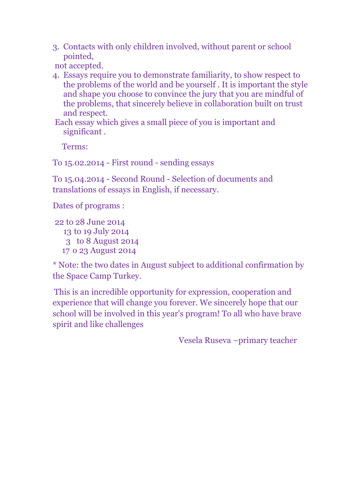3. Contacts with only children involved, without parent or school pointed,

not accepted.

4. Essays require you to demonstrate familiarity, to show respect to the problems of the world and be yourself . It is important the style and shape you choose to convince the jury that you are mindful of the problems, that sincerely believe in collaboration built on trust and respect.

Each essay which gives a small piece of you is important and significant .

Terms:

To 15.02.2014 - First round - sending essays

To 15.04.2014 - Second Round - Selection of documents and translations of essays in English, if necessary.

Dates of programs :

22 to 28 June 2014 to 19 July 2014 to 8 August 2014 o 23 August 2014

\* Note: the two dates in August subject to additional confirmation by the Space Camp Turkey.

This is an incredible opportunity for expression, cooperation and experience that will change you forever. We sincerely hope that our school will be involved in this year's program! To all who have brave spirit and like challenges

Vesela Ruseva –primary teacher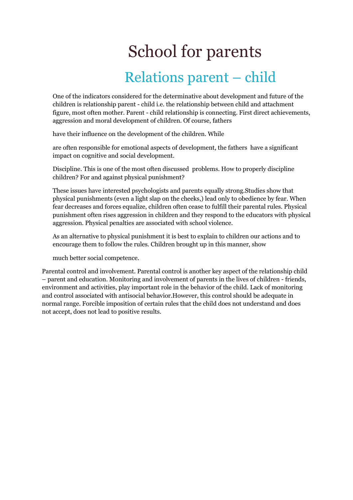# School for parents Relations parent – child

One of the indicators considered for the determinative about development and future of the children is relationship parent - child i.e. the relationship between child and attachment figure, most often mother. Parent - child relationship is connecting. First direct achievements, aggression and moral development of children. Of course, fathers

have their influence on the development of the children. While

are often responsible for emotional aspects of development, the fathers have a significant impact on cognitive and social development.

Discipline. This is one of the most often discussed problems. How to properly discipline children? For and against physical punishment?

These issues have interested psychologists and parents equally strong.Studies show that physical punishments (even a light slap on the cheeks,) lead only to obedience by fear. When fear decreases and forces equalize, children often cease to fulfill their parental rules. Physical punishment often rises aggression in children and they respond to the educators with physical aggression. Physical penalties are associated with school violence.

As an alternative to physical punishment it is best to explain to children our actions and to encourage them to follow the rules. Children brought up in this manner, show

much better social competence.

Parental control and involvement. Parental control is another key aspect of the relationship child – parent and education. Monitoring and involvement of parents in the lives of children - friends, environment and activities, play important role in the behavior of the child. Lack of monitoring and control associated with antisocial behavior.However, this control should be adequate in normal range. Forcible imposition of certain rules that the child does not understand and does not accept, does not lead to positive results.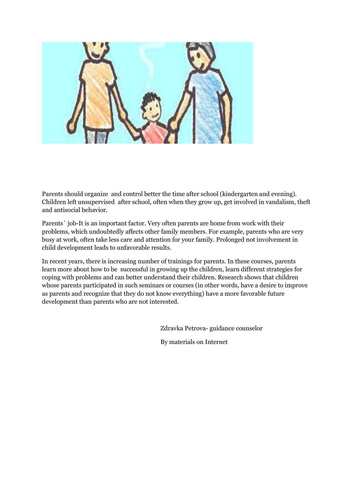

Parents should organize and control better the time after school (kindergarten and evening). Children left unsupervised after school, often when they grow up, get involved in vandalism, theft and antisocial behavior.

Parents` job-It is an important factor. Very often parents are home from work with their problems, which undoubtedly affects other family members. For example, parents who are very busy at work, often take less care and attention for your family. Prolonged not involvement in child development leads to unfavorable results.

In recent years, there is increasing number of trainings for parents. In these courses, parents learn more about how to be successful in growing up the children, learn different strategies for coping with problems and can better understand their children. Research shows that children whose parents participated in such seminars or courses (in other words, have a desire to improve as parents and recognize that they do not know everything) have a more favorable future development than parents who are not interested.

Zdravka Petrova- guidance counselor

By materials on Internet